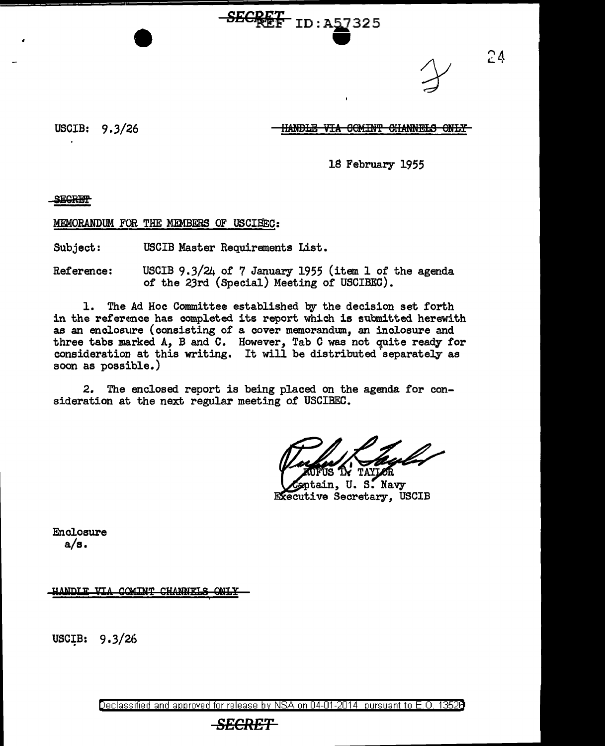<del>SECKEE</del> ID:A57325

 $24$ 

USCIB: 9.3/26

### HANDLE VIA COMINT CHANNELS ONLY

18 February 1955

SEGRET-

MEMORANDUM FOR THE MEMBERS OF USCISEC:

Subject: USCIB Master Requirements List.

Reference: USCIB 9.3/24 0£ 7 January 1955 (item 1 0£ the agenda 0£ the 23rd (Special) Meeting of USCIBEC).

1. The Ad Hoc Committee established by the decision set forth in the reference has completed its report which is submitted herewith as an enclosure (consisting of a cover memorandum, an inclosure and three tabs marked A, B and C. However, Tab C was not quite ready for consideration at this writing. It will be distributed separately as soon as possible.)

2. The enclosed report is being placed on the agenda £or consideration at the next regular meeting 0£ USCIBEC.

eptain, U.S. Navy Executive Secretary, USCIB

Enclosure  $a/s.$ 

HANDLE VIA COMINT CHANNELS ONLY

USCIB: 9.3/26

Declassified and approved for release by NSA on 04-01-2014 pursuant to E. 0. 1352B

### *SECRET*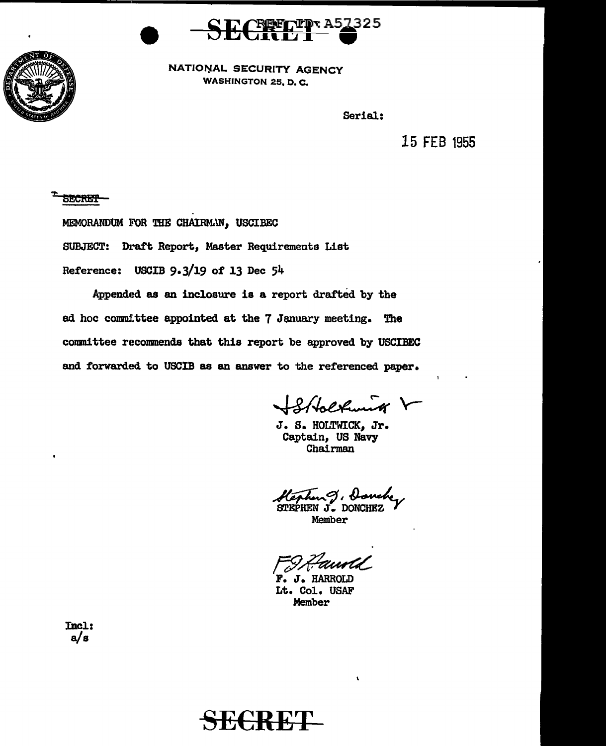



NATIONAL SECURITY AGENCY WASHINGTON 25, D. C.

Serial:

15 FEB 1955

**SECRET** 

MEMORANDUM FOR THE CHAIRMAN, USCIBEC

SUBJECT: Draft Report, Master Requirements List

Reference: USCIB 9.3/19 of 13 Dec 54

Appended as an inclosure is a report drafted by the ad hoc committee appointed at the 7 January meeting. The committee recommends that this report be approved by USCIBEC and forwarded to USCIB as an answer to the referenced paper.

Stbolkunk V

J. S. HOLTWICK, Jr. Captain, US Navy Chairman

hen J. <del>Hanch</del><br>HEN J. DONCHEZ

 $\mathbf{r}$ 

Member

FIR Fawald

Lt. Col. USAF Member

Incl: a/s

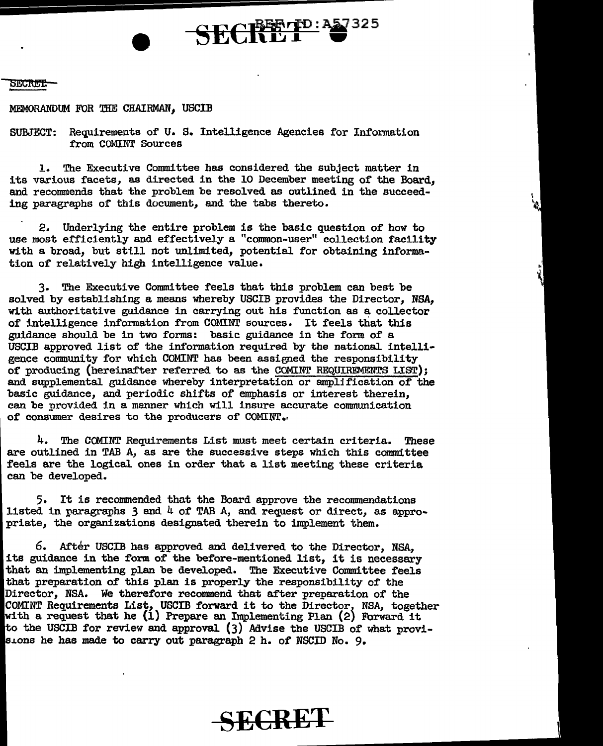#### SECRET:

MEMORANDUM FOR THE *CHAIRMAN,* USCIB

SUBJECT: Requirements of u. S. Intelligence Agencies for Information from COMINT Sources

 $SECH^{BETD:22325}_{D}$ 

1. The Executive Committee has considered the subject matter in its various facets, as directed in the 10 December meeting of the Board, and recommends that the problem be resolved as outlined in the succeeding paragraphs of' this document, and the tabs thereto.

2. Underlying the entire problem is the basic question of how to use most efficiently and effectively a "common-user" collection facility with a broad, but sttll not unlimited, potential for obtaining information of relatively high intelligence value.

3. The Executive Committee feels that this problem can best be solved by establishing a means whereby USCIB provides the Director, NSA, with authoritative guidance in carrying out his function as a collector of intelligence information from COMINT sources. It feels that this guidance should be in two forms: basic guidance in the form of a USCIB approved list of the information required by the national intelligence community for which COMINT has been assigned the responsibility of producing (hereinafter referred to as the COMINT REQUIREMENTS LIST); and supplemental guidance whereby interpretation or ampljfication of the basic guidance, and periodic shifts of emphasis or interest therein, can be provided in a manner which will insure accurate communication of consumer desires to the producers of COMINT.

4. The CCMINT Requirements List must meet certain criteria. These are outlined in TAB A, as are the successive steps which this committee feels are the logical ones in order that a list meeting these criteria can be developed.

5. It is recommended that the Board approve the recommendations listed in paragraphs  $3$  and  $4$  of TAB A, and request or direct, as appropriate, the organizations designated therein to implement them.

6. After USCIB has approved and delivered to the Director, NSA, its guidance in the form of the before-mentioned list, it is necessary that an implementing plan be developed. The Executive Committee feels that preparation of this plan is properly the responsibility of the Director, NSA. We therefore recommend that after preparation of the COMINT Requirements List, USCIB forward it to the Director, NSA, together with a request that he (1) Prepare an Implementing Plan (2) Forward it to the USCIB for review and approval (3) Advise the USCIB of what provisions he has made to carry out paragraph 2 h. of NSCID No. 9.

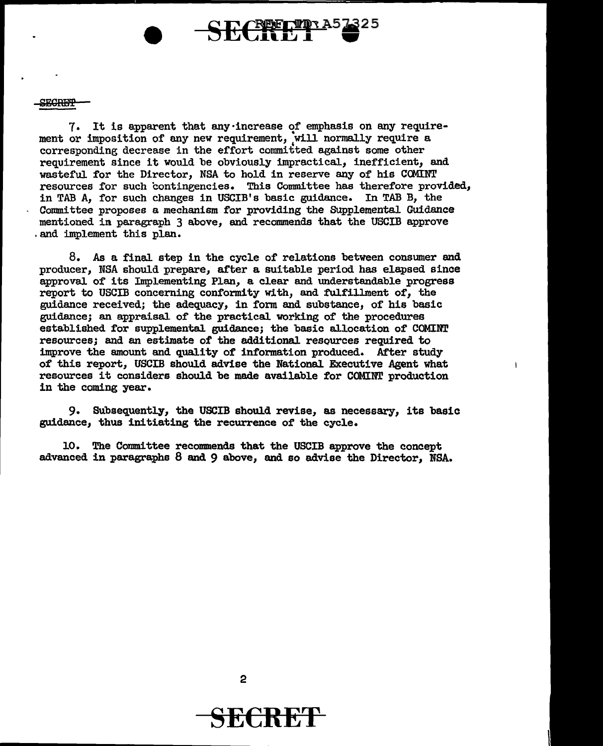SECREP

7. It is apparent that any·increase of emphasis on any requirement or imposition of any new requirement, will normally require a corresponding decrease in the effort committed against some other requirement since it would be obviously impractical, inefficient, and wasteful for the Director, NSA to hold in reserve any of his COMINT resources for such contingencies. This Committee has therefore provided, in TAB A, for such changes in USCIB's basic guidance. In TAB B, the Connnittee proposes a mechanism for providing the SUpplemental Guidance mentioned in paragraph 3 above, and recommends that the USCIB approve . and implement this plan.

CEPELIDA5

8. *As* a final step in the cycle of relations between consumer and producer, NSA should prepare, after a suitable period has elapsed since approval of its Implementing Plan, a clear and understandable progress report to USCIB concerning conformity with, and fulfillment of, the guidance received; the adequacy, in form and substance, of his basic guidance; an appraisal. of the practical working of the procedures established for supplemental. guidance; the basic al.location of COMINT resources; and an estimate of the additional resources required to improve the amount and quality of information produced. After study of this report, USCIB should advise the National Executive Agent what resources it considers should be made available for COMINT production in the coming year.

 $\mathbf{I}$ 

9. Subsequently, the USCIB should revise, as necessary, its basic guidance, thus initiating the recurrence of the cycle.

10. The Committee recommends that the USCIB approve the concept advanced in paragraphs  $8$  and  $9$  above, and so advise the Director, NSA.

2

## SE€RE'f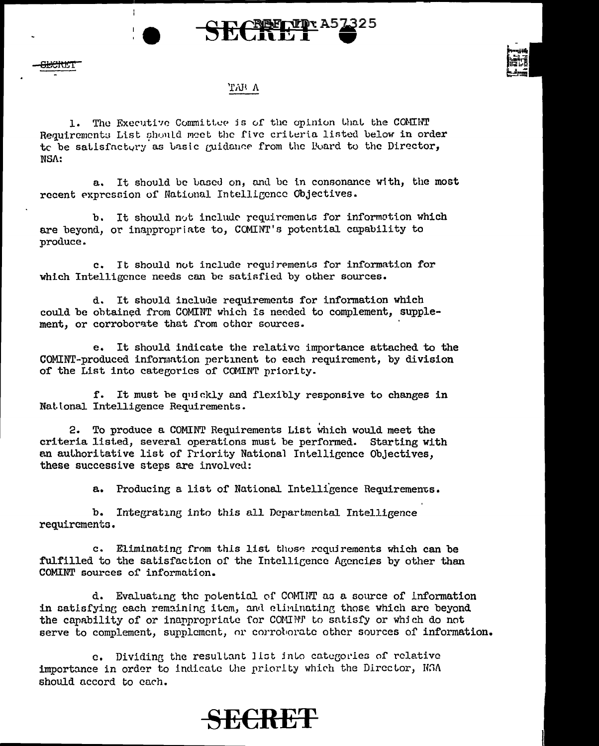



#### 'LWA

 $\frac{E}{E}$ 

÷

1. The Executive Committee is of the opinion that the COMINT Requirements List should meet the five criteria listed below in order to be satisfactory as basic quidance from the Board to the Director, NSA:

a. It should be based on, and be in consonance with, the most recent expression of National Intelligence Objectives.

b. It should not include requirements for information which are beyond, or inappropriate to, COMINT's potential capability to J>roduce.

c. It should not include requirements for information for which Intelligence needs can be satisfied by other sources.

d. It should include requirements for information which could be obtained from COMINT which is needed to complement, supplement, or corroborate that from other sources.

e. It should indicate the relative importance attached to the COMINT-produced information pertinent to each requirement, by division of the List into categorics of COMINT priority.

f. It must be quickly and flexibly responsive to changes in Nat. ional Intelligence Requirements.

2. To produce a COMINT Requirements List which would meet the criteria listed, several operations must be performed. Starting with an authoritative list of Friority National Intelligence Objectives, these successive steps are involved:

a. Producing a list of National Intelligence Requirements.

b. Integratine into this all Departmental Intelligence requirements.

c. Eliminating from this list those requirements which can be fulfilled to the satisfaction of the Intelligence Agencies by other than COMINT sources of information.

d. Evaluating the potential of COMINT as a source of information in satisfying each remaining item, and eliminating those which are beyond the capability of or inappropriate for COMINT to satisfy or which do not serve to complement, supplement, or corroborate other sources of information.

e. Dividing the resultant list into categories of relative importance in order to indicate the priority which the Director, NSA should accord to each.

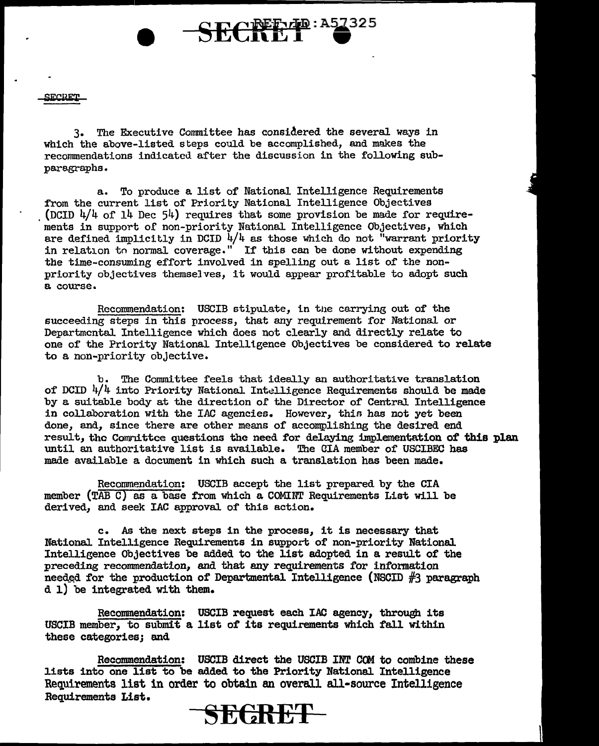ירת גוריתו

3. The Executive Committee has considered the several ways in which the above-listed steps could be accomplished, and makes the recommendations indicated after the discussion in the following subparagraphs.

a. To produce a list of National Intelligence Requirements from the current list of Priority National Intelligence Objectives (DCID  $4/4$  of  $14$  Dec  $54$ ) requires that some provision be made for requirements in support of non-priority National Intelligence Objectives, which are defined implicitly in DCID  $\frac{1}{4}$  as those which do not "warrant priority in relation tn normal coverage." If this can be done without expending the time-consuming effort involved in spelling out a list of the nonpriority objectives themselves, it would appear profitable to adopt such a course.

SECRETTE: A57325

Recommendation: USCIB stipulate, in the carrying out of the succeeding steps in this process, that any requirement for National or Departmental Intelligence which does not clearly and directly relate to one of the Priority National. Intelligence Objectives be considered to relate to a non-priority objective.

b. The Committee feels that ideaJ.ly an authoritative translation of DCID  $4/4$  into Priority National Intelligence Requirements should be made by a suitable body at the direction of the Director of Central Intelligence in collaboration with the IAC agencies. However, this has not yet been done, and, since there are other means of accomplishing the desired end result, tho Comrdttce questions the need for delaying implementation of this plan until an authoritative list is available. The CIA member of USCIBEC has made available a document in which such a translation has been made.

Recommendation: USCIB accept the list prepared by the CIA member (TAB C) as a base from which a COMINT Requirements List will be derived, and seek IAC approval of this action.

c. As the next steps in the process, it is necessary that National Intelligence Requirements in support of non-priority National Intelligence Objectives be added to the list adopted in a result of the preceding recommendation, and that any requirements for information needed for the production of Departmental Intelligence (NSCID  $#3$  paragraph d 1) be integrated with them.

Recommendation: USCIB request each IAC agency, through its USCIB member, to submit a list of its requirements which fall within these categories; and

Recommendation: USCIB direct the USCIB INT COM to combine these lists into one list to be added to the Priority National Intelligence Requirements list in order to obtain an overall all-source Intelligence Requirements List.

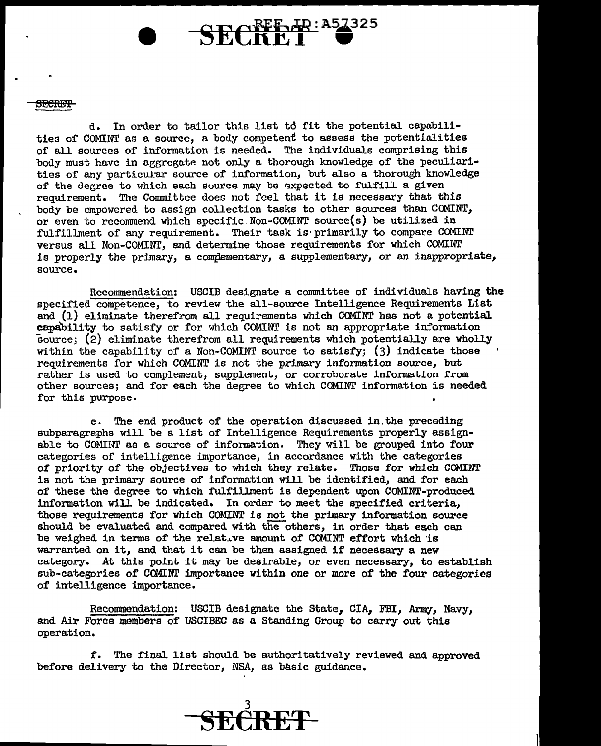#### <del>SECRET</del>

d. In order to tailor this list to fit the potential capabilities of COMINT as a source, a body competent to assess the potentialities of all sources of information is needed. The individuals comprising this body must have in aggregate not only a thorough knowledge of the peculiarities of any particular source of information, but also a thorough knowledge of the degree to which each source may be expected to fulfill a given requirement. The Committee does not feel that it is necessary that this body be empowered to assign collection tasks to other sources than COMINI', or even to recommend which spccific.Non-COMINT source(s) be utilized in fulfillment of any requirement. Their task is· primarily to compare COMINr versus all Non-COMINT, and determine those requirements for which COMINT is properly the primary, a complementary, a supplementary, or an inappropriate, source.

Recommendation: USCIB designate a committee of individuals having the specified competence, to review the all-source Intelligence Requirements List and (1) eliminate therefrom all requirements which COMINT has not a potential capability to satisfy or for which COMINT is not an appropriate information source; (2) eliminate therefrom all requirements which potentially are wholly within the capability of a Non-COMINT source to satisfy;  $(3)$  indicate those requirements for which COMINT is not the primary infonnation source, but rather is used to complement, supplement, or corroborate information from other sources; and for each the degree to which COMINT information is needed for this purpose.

e. The end product of the operation discussed in.the preceding subparagraphs will be a list of Intelligence Requirements properly assignable to COMINT as a source of information. They will be grouped into four categories of intelligence importance, in accordance with the categories of priority of the objectives to which they relate. Those for which COMINT is not the primary source of information Will be identified, and for each of these the degree to which fulfillment is dependent upon COMINT-produced information will be indicated. In order to meet the specified criteria, those requirements for which COMINT is not the primary information source should be evaluated and compared with the others, in order that each can be weighed in terms of the relative amount of COMINT effort which 'is warranted on it, and that it can be then assigned if necessary a new category. At this point it may be desirable, or even necessary, to establish sub-categories of COMINT importance within one or more of the four categories of intelligence importance.

Reconnnendation: USCIB designate the State, CIA, FBI, Army, Navy, and Air Force members of USCIBEC as a Standing Group to carry out this operation.

f. The final list should be authoritatively reviewed and approved before delivery to the Director, NSA, as basic guidance.

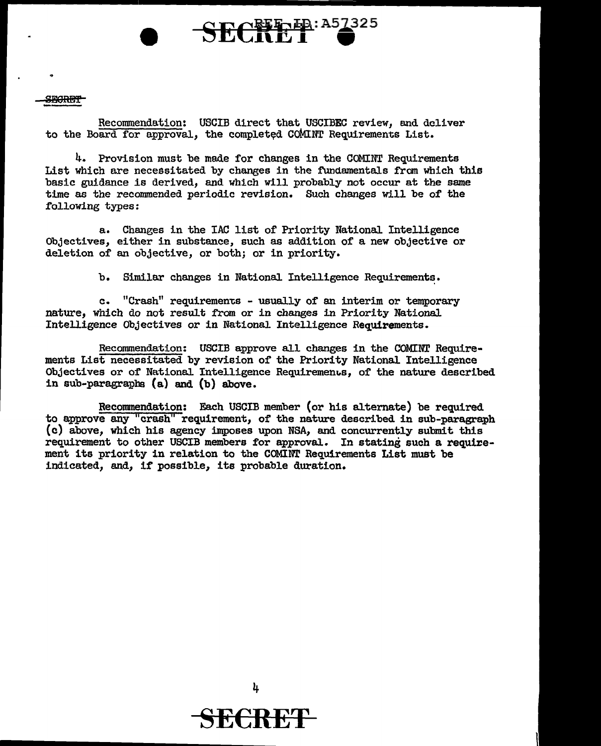#### **SECRET**

Recommendation: USCIB direct that USCIBEC review, and deliver to the Board for approval, the completed COMINT Requirements List.

SECTEP: A57325

4. Provision must be mede for changes in the COMINT Requirements List which are necessitated by changes in the fundamentals from which this basic guidance is derived, and which will probably not occur at the same time as the recommended periodic revision. Such changes will be of the following types:

a. Changes in the IAC list of Priority National Intelligence Objectives, either in substance, such as addition of a new objective or deletion of an objective, or both; or in priority.

b. Similar changes in National Intelligence Requirements.

c. "Crash" requirements - usually of an interim or temporary nature, which do not result from or in changes in Priority National Intelligence Objectives or in National Intelligence Requirements.

Recommendation: USCIB approve all changes in the COMINT Requirements List necessitated by revision of the Priority National Intelligence Objectives or of National Intelligence Requirements, of the nature described in sub-paragraphs (a) and (b) above.

Recommendation: Each USCIB member (or his alternate) be required to approve any "crash" requirement, of the nature described in sub-paragraph (c) above, which his agency imposes upon NSA, and concurrently submit this requirement to other USCIB members for approval. In stating such a requirement its priority in relation to the COMINT Requirements List must be indicated, and, if possible, its probable duration.



4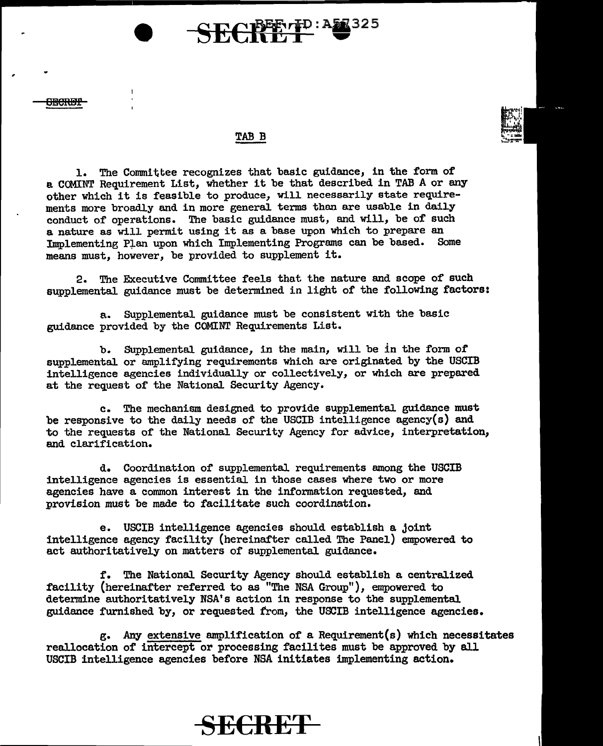# **NEE** 7 PD: AS 325

#### TAB B

1. The Committee recognizes that basic guidance, in the form of a COMINT Requirement List, whether it be that described in TAB A or any other which it is feasible to produce, will necessarily state requirements more broadly and in more general terms than are usable in daily conduct of operations. The basic guidance must, and will, be of such a nature as will permit using it as a base upon which to prepare an Implementing Plan upon which Implementing Programs can be based. Some means must, however, be provided to supplement it.

2. The Executive Committee feels that the nature and scope of such supplemental guidance must be determined in light of the following factors:

a. Supplemental guidance must be consistent with the basic guidance provided by the COMINT Requirements List.

b. Supplemental guidance, in the main, will be in the form of supplemental or amplifying requirements which are originated by the USCIB intelligence agencies individually or collectively, or which are prepared at the request of the National. Security Agency.

c. The mechanism designed to provide supplemental guidance must be responsive to the daily needs of the USCIB intelligence agency(s) and to the requests of the National Security Agency for advice, interpretation, and clarification.

d. Coordination of supplemental requirements among the USCIB intelligence agencies is essential. in those cases where two or more agencies have a common interest in the information requested, and provision must be made to facilitate such coordination.

e. USCIB intelligence agencies should establish a joint intelligence agency facility (hereinafter called The Panel) empowered to act authoritatively on matters of supplemental guidance.

f. The National Security Agency should establish a centralized facility (hereinafter referred to as "The NSA Group"), empowered to determine authoritatively NSA's action in response to the supplemental guidance furnished by, or requested trom, the USCIB intelligence agencies.

g. Any extensive amplification of a Requirement(s) which necessitates reallocation of intercept or processing facilites must be approved by all USCIB intelligence agencies before NSA initiates implementing action.

### **SE€RET**